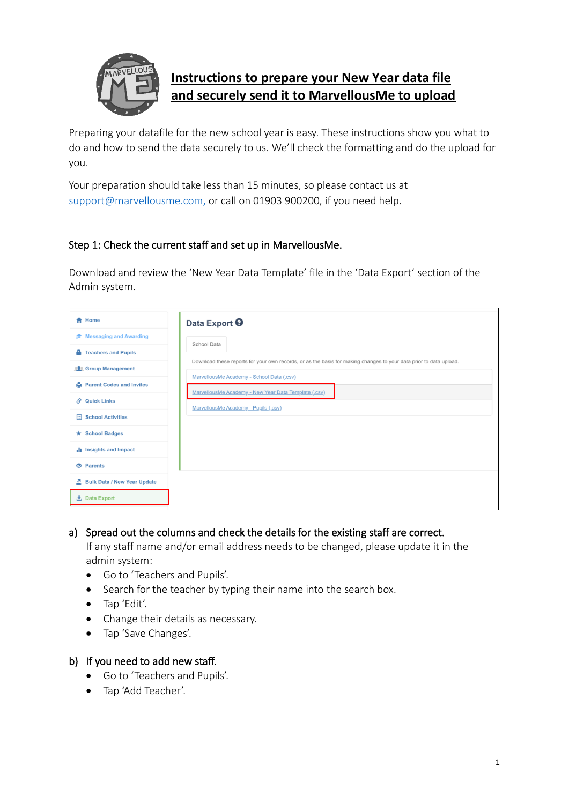

# **Instructions to prepare your New Year data file and securely send it to MarvellousMe to upload**

Preparing your datafile for the new school year is easy. These instructions show you what to do and how to send the data securely to us. We'll check the formatting and do the upload for you.

Your preparation should take less than 15 minutes, so please contact us at [support@marvellousme.com,](mailto:support@marvellousme.com) or call on 01903 900200, if you need help.

# Step 1: Check the current staff and set up in MarvellousMe.

Download and review the 'New Year Data Template' file in the 'Data Export' section of the Admin system.

| <del>A</del> Home                     | Data Export <sup>O</sup>                                                                                           |
|---------------------------------------|--------------------------------------------------------------------------------------------------------------------|
| i <sup>→</sup> Messaging and Awarding | School Data                                                                                                        |
| <b>Teachers and Pupils</b><br>А.      |                                                                                                                    |
| <b>12</b> Group Management            | Download these reports for your own records, or as the basis for making changes to your data prior to data upload. |
| <b>Parent Codes and Invites</b>       | MarvellousMe Academy - School Data (.csv)                                                                          |
| $\mathcal{S}$ Quick Links             | MarvellousMe Academy - New Year Data Template (.csv)<br>MarvellousMe Academy - Pupils (.csv)                       |
| <b>School Activities</b><br>目         |                                                                                                                    |
| <b>★ School Badges</b>                |                                                                                                                    |
| Insights and Impact                   |                                                                                                                    |
| <b>O</b> Parents                      |                                                                                                                    |
| Bulk Data / New Year Update           |                                                                                                                    |
| 上 Data Export                         |                                                                                                                    |
|                                       |                                                                                                                    |

#### a) Spread out the columns and check the details for the existing staff are correct.

If any staff name and/or email address needs to be changed, please update it in the admin system:

- Go to 'Teachers and Pupils'.
- Search for the teacher by typing their name into the search box.
- Tap 'Edit'.
- Change their details as necessary.
- Tap 'Save Changes'.

#### b) If you need to add new staff.

- Go to 'Teachers and Pupils'.
- Tap 'Add Teacher'.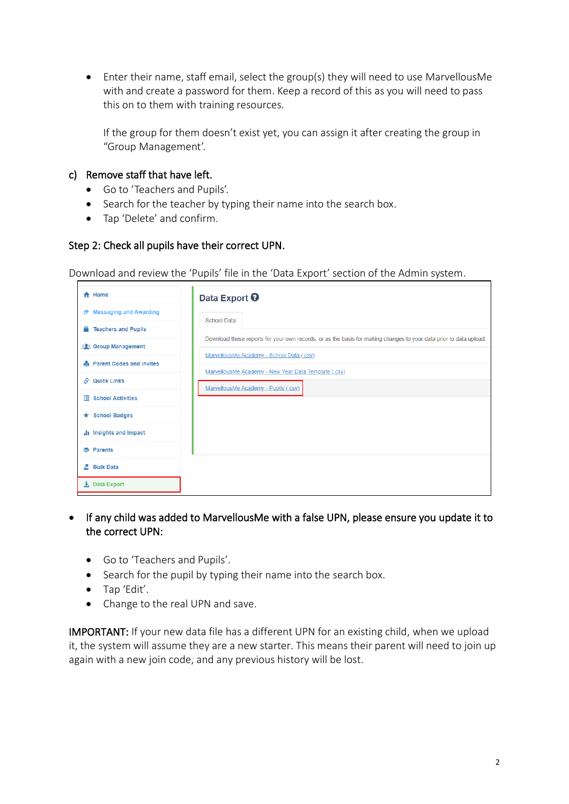• Enter their name, staff email, select the group(s) they will need to use MarvellousMe with and create a password for them. Keep a record of this as you will need to pass this on to them with training resources.

If the group for them doesn't exist yet, you can assign it after creating the group in "Group Management'.

#### c) Remove staff that have left.

- Go to 'Teachers and Pupils'.
- Search for the teacher by typing their name into the search box.
- Tap 'Delete' and confirm.

#### Step 2: Check all pupils have their correct UPN.

Download and review the 'Pupils' file in the 'Data Export' section of the Admin system.

| <del>A</del> Home                 | Data Export <sup>O</sup>                                                                                           |
|-----------------------------------|--------------------------------------------------------------------------------------------------------------------|
| <b>E</b> Messaging and Awarding   | <b>School Data</b>                                                                                                 |
| <b>Teachers and Pupils</b>        |                                                                                                                    |
| <b>191</b> Group Management       | Download these reports for your own records, or as the basis for making changes to your data prior to data upload. |
| <b>A</b> Parent Codes and Invites | MarvellousMe Academy - School Data (.csv)                                                                          |
| <b>Quick Links</b><br>S.          | MarvellousMe Academy - New Year Data Template (.csv)                                                               |
| <b>■ School Activities</b>        | MarvellousMe Academy - Pupils (.csv)                                                                               |
|                                   |                                                                                                                    |
| $\star$ School Badges             |                                                                                                                    |
| il Insights and Impact            |                                                                                                                    |
| <b><sup>6</sup></b> Parents       |                                                                                                                    |
| 조 Bulk Data                       |                                                                                                                    |
| 上 Data Export                     |                                                                                                                    |

- If any child was added to MarvellousMe with a false UPN, please ensure you update it to the correct UPN:
	- Go to 'Teachers and Pupils'.
	- Search for the pupil by typing their name into the search box.
	- Tap 'Edit'.
	- Change to the real UPN and save.

IMPORTANT: If your new data file has a different UPN for an existing child, when we upload it, the system will assume they are a new starter. This means their parent will need to join up again with a new join code, and any previous history will be lost.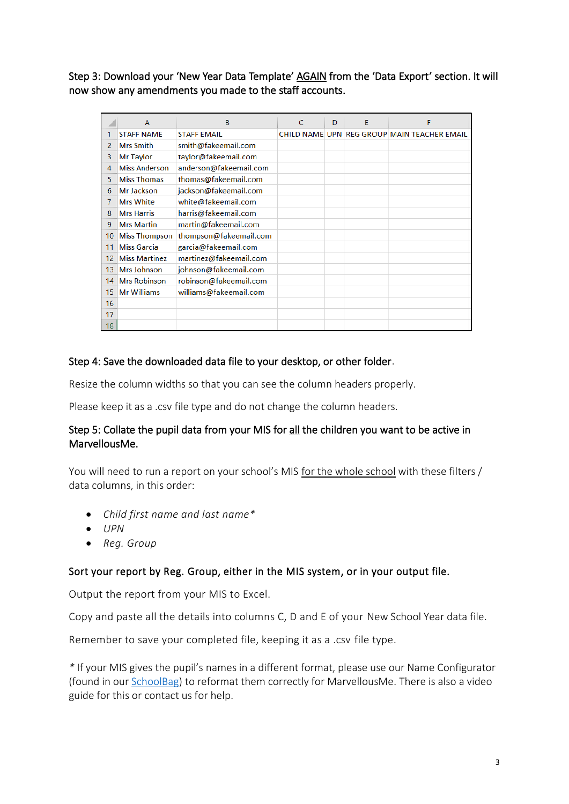Step 3: Download your 'New Year Data Template' AGAIN from the 'Data Export' section. It will now show any amendments you made to the staff accounts.

|                 | $\overline{A}$       | B                      | C | D | E | F                                           |
|-----------------|----------------------|------------------------|---|---|---|---------------------------------------------|
|                 | <b>STAFF NAME</b>    | <b>STAFF EMAIL</b>     |   |   |   | CHILD NAME UPN REG GROUP MAIN TEACHER EMAIL |
| 2               | <b>Mrs Smith</b>     | smith@fakeemail.com    |   |   |   |                                             |
| 3               | Mr Taylor            | taylor@fakeemail.com   |   |   |   |                                             |
| 4               | <b>Miss Anderson</b> | anderson@fakeemail.com |   |   |   |                                             |
| 5               | <b>Miss Thomas</b>   | thomas@fakeemail.com   |   |   |   |                                             |
| 6               | Mr Jackson           | jackson@fakeemail.com  |   |   |   |                                             |
| 7               | <b>Mrs White</b>     | white@fakeemail.com    |   |   |   |                                             |
| 8               | <b>Mrs Harris</b>    | harris@fakeemail.com   |   |   |   |                                             |
| 9               | <b>Mrs Martin</b>    | martin@fakeemail.com   |   |   |   |                                             |
| 10 <sup>°</sup> | <b>Miss Thompson</b> | thompson@fakeemail.com |   |   |   |                                             |
| 11              | <b>Miss Garcia</b>   | garcia@fakeemail.com   |   |   |   |                                             |
| 12              | <b>Miss Martinez</b> | martinez@fakeemail.com |   |   |   |                                             |
| 13              | Mrs Johnson          | johnson@fakeemail.com  |   |   |   |                                             |
| 14              | <b>Mrs Robinson</b>  | robinson@fakeemail.com |   |   |   |                                             |
| 15              | <b>Mr Williams</b>   | williams@fakeemail.com |   |   |   |                                             |
| 16              |                      |                        |   |   |   |                                             |
| 17              |                      |                        |   |   |   |                                             |
| 18              |                      |                        |   |   |   |                                             |

#### Step 4: Save the downloaded data file to your desktop, or other folder.

Resize the column widths so that you can see the column headers properly.

Please keep it as a .csv file type and do not change the column headers.

# Step 5: Collate the pupil data from your MIS for all the children you want to be active in MarvellousMe.

You will need to run a report on your school's MIS for the whole school with these filters / data columns, in this order:

- *Child first name and last name\**
- *UPN*
- *Reg. Group*

#### Sort your report by Reg. Group, either in the MIS system, or in your output file.

Output the report from your MIS to Excel.

Copy and paste all the details into columns C, D and E of your New School Year data file.

Remember to save your completed file, keeping it as a .csv file type.

*\** If your MIS gives the pupil's names in a different format, please use our Name Configurator (found in our [SchoolBag\)](mailto:https://marvellousme.com/schoolbag/) to reformat them correctly for MarvellousMe. There is also a video guide for this or contact us for help.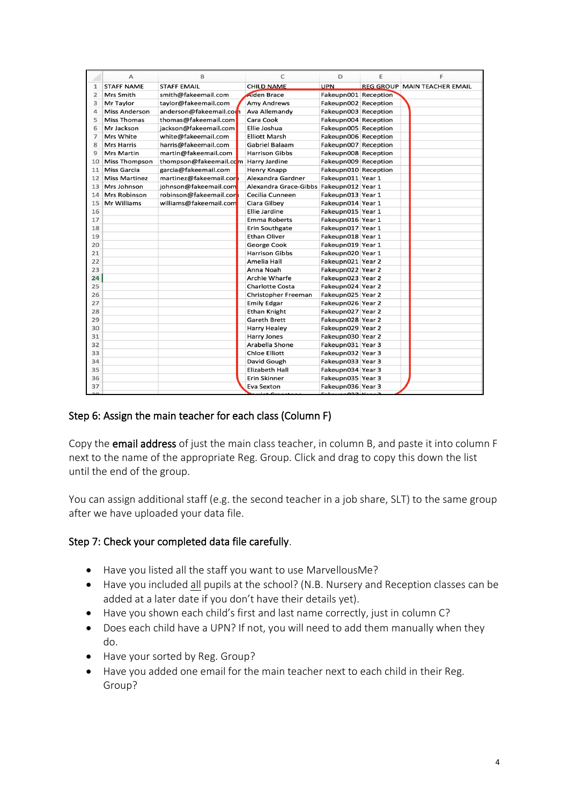|                | A                    | B                      | c                                       | D                    | E | F                                   |
|----------------|----------------------|------------------------|-----------------------------------------|----------------------|---|-------------------------------------|
| $\mathbf{1}$   | <b>STAFF NAME</b>    | <b>STAFF EMAIL</b>     | <b>CHILD NAME</b>                       | <b>UPN</b>           |   | <b>REG GROUP MAIN TEACHER EMAIL</b> |
| $\overline{2}$ | Mrs Smith            | smith@fakeemail.com    | Aiden Brace                             | Fakeupn001 Reception |   |                                     |
| 3              | Mr Taylor            | tavlor@fakeemail.com   | <b>Amy Andrews</b>                      | Fakeupn002 Reception |   |                                     |
| 4              | <b>Miss Anderson</b> | anderson@fakeemail.com | Ava Allemandv                           | Fakeupn003 Reception |   |                                     |
| 5              | <b>Miss Thomas</b>   | thomas@fakeemail.com   | Cara Cook                               | Fakeupn004 Reception |   |                                     |
| 6              | Mr Jackson           | jackson@fakeemail.com  | Ellie Joshua                            | Fakeupn005 Reception |   |                                     |
| 7              | Mrs White            | white@fakeemail.com    | <b>Elliott Marsh</b>                    | Fakeupn006 Reception |   |                                     |
| 8              | <b>Mrs Harris</b>    | harris@fakeemail.com   | Gabriel Balaam                          | Fakeupn007 Reception |   |                                     |
| 9              | <b>Mrs Martin</b>    | martin@fakeemail.com   | <b>Harrison Gibbs</b>                   | Fakeupn008 Reception |   |                                     |
| 10             | <b>Miss Thompson</b> | thompson@fakeemail.com | Harry Jardine                           | Fakeupn009 Reception |   |                                     |
| 11             | Miss Garcia          | garcia@fakeemail.com   | Henry Knapp                             | Fakeupn010 Reception |   |                                     |
| 12             | <b>Miss Martinez</b> | martinez@fakeemail.con | Alexandra Gardner                       | Fakeupn011 Year 1    |   |                                     |
| 13             | Mrs Johnson          | iohnson@fakeemail.com  | Alexandra Grace-Gibbs Fakeupn012 Year 1 |                      |   |                                     |
| 14             | Mrs Robinson         | robinson@fakeemail.con | Cecilia Cunneen                         | Fakeupn013 Year 1    |   |                                     |
| 15             | Mr Williams          | williams@fakeemail.com | Ciara Gilbey                            | Fakeupn014 Year 1    |   |                                     |
| 16             |                      |                        | Ellie Jardine                           | Fakeupn015 Year 1    |   |                                     |
| 17             |                      |                        | <b>Emma Roberts</b>                     | Fakeupn016 Year 1    |   |                                     |
| 18             |                      |                        | <b>Erin Southgate</b>                   | Fakeupn017 Year 1    |   |                                     |
| 19             |                      |                        | <b>Ethan Oliver</b>                     | Fakeupn018 Year 1    |   |                                     |
| 20             |                      |                        | George Cook                             | Fakeupn019 Year 1    |   |                                     |
| 21             |                      |                        | <b>Harrison Gibbs</b>                   | Fakeupn020 Year 1    |   |                                     |
| 22             |                      |                        | Amelia Hall                             | Fakeupn021 Year 2    |   |                                     |
| 23             |                      |                        | Anna Noah                               | Fakeupn022 Year 2    |   |                                     |
| 24             |                      |                        | Archie Wharfe                           | Fakeupn023 Year 2    |   |                                     |
| 25             |                      |                        | <b>Charlotte Costa</b>                  | Fakeupn024 Year 2    |   |                                     |
| 26             |                      |                        | Christopher Freeman                     | Fakeupn025 Year 2    |   |                                     |
| 27             |                      |                        | <b>Emily Edgar</b>                      | Fakeupn026 Year 2    |   |                                     |
| 28             |                      |                        | <b>Ethan Knight</b>                     | Fakeupn027 Year 2    |   |                                     |
| 29             |                      |                        | Gareth Brett                            | Fakeupn028 Year 2    |   |                                     |
| 30             |                      |                        | <b>Harry Healey</b>                     | Fakeupn029 Year 2    |   |                                     |
| 31             |                      |                        | Harry Jones                             | Fakeupn030 Year 2    |   |                                     |
| 32             |                      |                        | Arabella Shone                          | Fakeupn031 Year 3    |   |                                     |
| 33             |                      |                        | <b>Chloe Elliott</b>                    | Fakeupn032 Year 3    |   |                                     |
| 34             |                      |                        | David Gough                             | Fakeupn033 Year 3    |   |                                     |
| 35             |                      |                        | Elizabeth Hall                          | Fakeupn034 Year 3    |   |                                     |
| 36             |                      |                        | <b>Erin Skinner</b>                     | Fakeupn035 Year 3    |   |                                     |
| 37             |                      |                        | Eva Sexton                              | Fakeupn036 Year 3    |   |                                     |
| 2o             |                      |                        | $\mathbf{r}$ is $\mathbf{r}$            | فعمولا 1427هيسمياما  |   |                                     |

# Step 6: Assign the main teacher for each class (Column F)

Copy the email address of just the main class teacher, in column B, and paste it into column F next to the name of the appropriate Reg. Group. Click and drag to copy this down the list until the end of the group.

You can assign additional staff (e.g. the second teacher in a job share, SLT) to the same group after we have uploaded your data file.

#### Step 7: Check your completed data file carefully.

- Have you listed all the staff you want to use MarvellousMe?
- Have you included all pupils at the school? (N.B. Nursery and Reception classes can be added at a later date if you don't have their details yet).
- Have you shown each child's first and last name correctly, just in column C?
- Does each child have a UPN? If not, you will need to add them manually when they do.
- Have your sorted by Reg. Group?
- Have you added one email for the main teacher next to each child in their Reg. Group?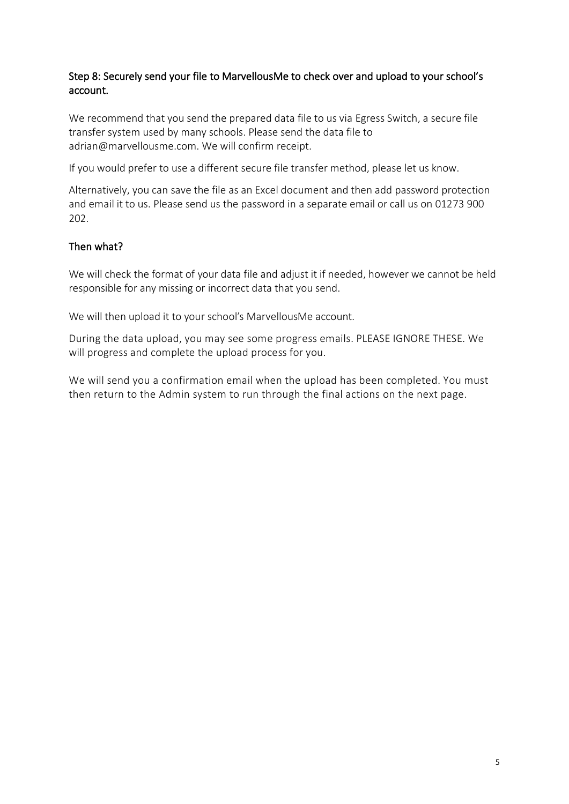# Step 8: Securely send your file to MarvellousMe to check over and upload to your school's account.

We recommend that you send the prepared data file to us via Egress Switch, a secure file transfer system used by many schools. Please send the data file to adrian@marvellousme.com. We will confirm receipt.

If you would prefer to use a different secure file transfer method, please let us know.

Alternatively, you can save the file as an Excel document and then add password protection and email it to us. Please send us the password in a separate email or call us on 01273 900 202.

# Then what?

We will check the format of your data file and adjust it if needed, however we cannot be held responsible for any missing or incorrect data that you send.

We will then upload it to your school's MarvellousMe account.

During the data upload, you may see some progress emails. PLEASE IGNORE THESE. We will progress and complete the upload process for you.

We will send you a confirmation email when the upload has been completed. You must then return to the Admin system to run through the final actions on the next page.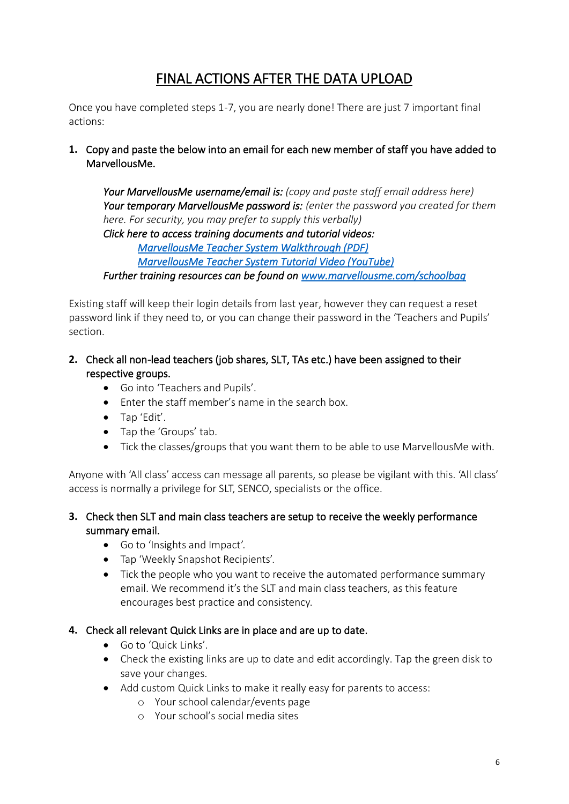# FINAL ACTIONS AFTER THE DATA UPLOAD

Once you have completed steps 1-7, you are nearly done! There are just 7 important final actions:

**1.** Copy and paste the below into an email for each new member of staff you have added to MarvellousMe.

*Your MarvellousMe username/email is: (copy and paste staff email address here) Your temporary MarvellousMe password is: (enter the password you created for them here. For security, you may prefer to supply this verbally) Click here to access training documents and tutorial videos:*

 *[MarvellousMe Teacher System Walkthrough \(PDF\)](https://marvellousme.com/wp-content/uploads/2018/09/Teacher-Walkthrough-Tutorial.pdf)*

 *[MarvellousMe Teacher System Tutorial Video \(YouTube\)](https://www.youtube.com/watch?v=TkbIfyPgevQ&feature=youtu.be)*

*Further training resources can be found on [www.marvellousme.com/schoolbag](http://www.marvellousme.com/schoolbag)*

Existing staff will keep their login details from last year, however they can request a reset password link if they need to, or you can change their password in the 'Teachers and Pupils' section.

- **2.** Check all non-lead teachers (job shares, SLT, TAs etc.) have been assigned to their respective groups.
	- Go into 'Teachers and Pupils'.
	- Enter the staff member's name in the search box.
	- Tap 'Edit'.
	- Tap the 'Groups' tab.
	- Tick the classes/groups that you want them to be able to use MarvellousMe with.

Anyone with 'All class' access can message all parents, so please be vigilant with this. 'All class' access is normally a privilege for SLT, SENCO, specialists or the office.

- **3.** Check then SLT and main class teachers are setup to receive the weekly performance summary email.
	- Go to 'Insights and Impact'.
	- Tap 'Weekly Snapshot Recipients'.
	- Tick the people who you want to receive the automated performance summary email. We recommend it's the SLT and main class teachers, as this feature encourages best practice and consistency.

#### **4.** Check all relevant Quick Links are in place and are up to date.

- Go to 'Quick Links'.
- Check the existing links are up to date and edit accordingly. Tap the green disk to save your changes.
- Add custom Quick Links to make it really easy for parents to access:
	- o Your school calendar/events page
	- o Your school's social media sites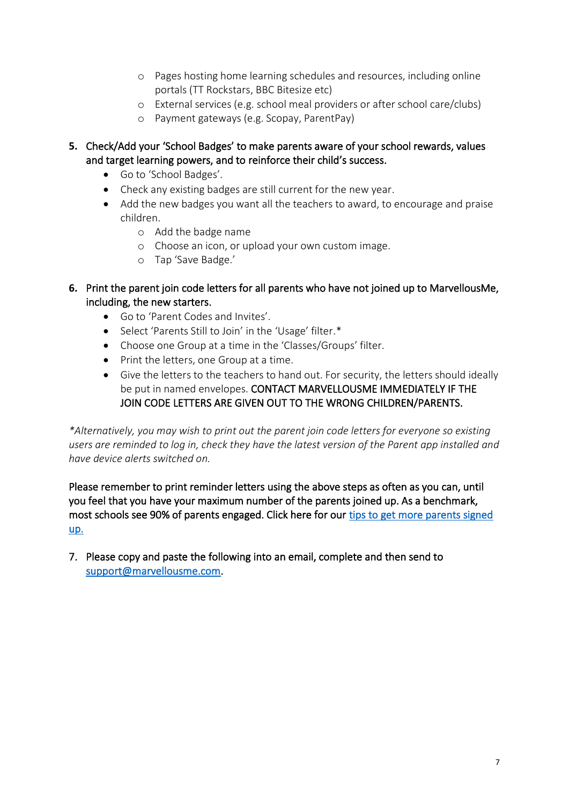- o Pages hosting home learning schedules and resources, including online portals (TT Rockstars, BBC Bitesize etc)
- o External services (e.g. school meal providers or after school care/clubs)
- o Payment gateways (e.g. Scopay, ParentPay)
- **5.** Check/Add your 'School Badges' to make parents aware of your school rewards, values and target learning powers, and to reinforce their child's success.
	- Go to 'School Badges'.
	- Check any existing badges are still current for the new year.
	- Add the new badges you want all the teachers to award, to encourage and praise children.
		- o Add the badge name
		- o Choose an icon, or upload your own custom image.
		- o Tap 'Save Badge.'
- **6.** Print the parent join code letters for all parents who have not joined up to MarvellousMe, including, the new starters.
	- Go to 'Parent Codes and Invites'.
	- Select 'Parents Still to Join' in the 'Usage' filter.\*
	- Choose one Group at a time in the 'Classes/Groups' filter.
	- Print the letters, one Group at a time.
	- Give the letters to the teachers to hand out. For security, the letters should ideally be put in named envelopes. CONTACT MARVELLOUSME IMMEDIATELY IF THE JOIN CODE LETTERS ARE GIVEN OUT TO THE WRONG CHILDREN/PARENTS.

*\*Alternatively, you may wish to print out the parent join code letters for everyone so existing users are reminded to log in, check they have the latest version of the Parent app installed and have device alerts switched on.*

Please remember to print reminder letters using the above steps as often as you can, until you feel that you have your maximum number of the parents joined up. As a benchmark, most schools see 90% of parents engaged. Click here for our [tips to get more parents signed](https://marvellousme.com/wp-content/uploads/2019/03/Tips-to-get-parents-joined.pdf)  [up.](https://marvellousme.com/wp-content/uploads/2019/03/Tips-to-get-parents-joined.pdf) 

7. Please copy and paste the following into an email, complete and then send to [support@marvellousme.com.](mailto:support@marvellousme.com)